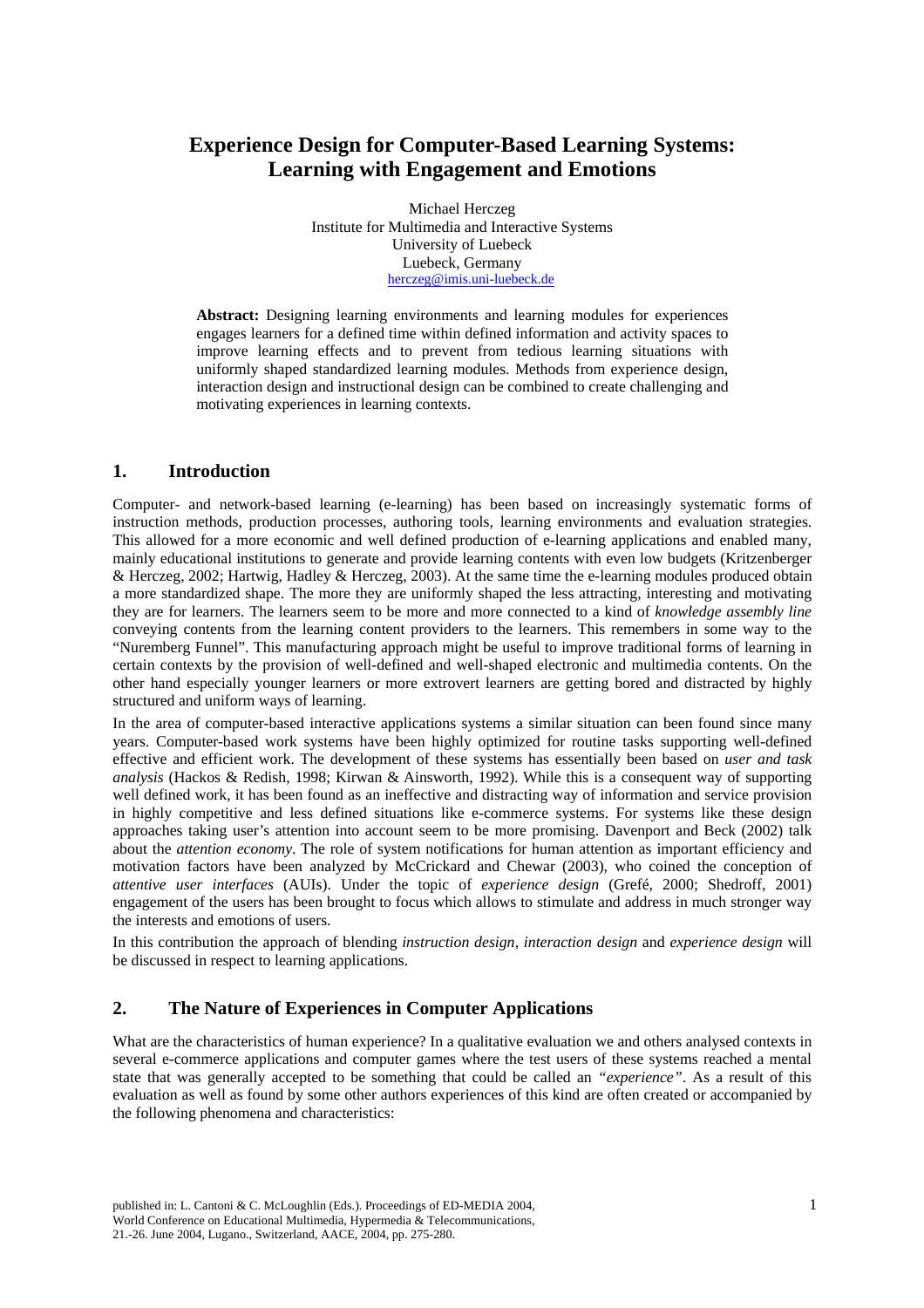# **Experience Design for Computer-Based Learning Systems: Learning with Engagement and Emotions**

Michael Herczeg Institute for Multimedia and Interactive Systems University of Luebeck Luebeck, Germany herczeg@imis.uni-luebeck.de

**Abstract:** Designing learning environments and learning modules for experiences engages learners for a defined time within defined information and activity spaces to improve learning effects and to prevent from tedious learning situations with uniformly shaped standardized learning modules. Methods from experience design, interaction design and instructional design can be combined to create challenging and motivating experiences in learning contexts.

#### **1. Introduction**

Computer- and network-based learning (e-learning) has been based on increasingly systematic forms of instruction methods, production processes, authoring tools, learning environments and evaluation strategies. This allowed for a more economic and well defined production of e-learning applications and enabled many, mainly educational institutions to generate and provide learning contents with even low budgets (Kritzenberger & Herczeg, 2002; Hartwig, Hadley & Herczeg, 2003). At the same time the e-learning modules produced obtain a more standardized shape. The more they are uniformly shaped the less attracting, interesting and motivating they are for learners. The learners seem to be more and more connected to a kind of *knowledge assembly line* conveying contents from the learning content providers to the learners. This remembers in some way to the "Nuremberg Funnel". This manufacturing approach might be useful to improve traditional forms of learning in certain contexts by the provision of well-defined and well-shaped electronic and multimedia contents. On the other hand especially younger learners or more extrovert learners are getting bored and distracted by highly structured and uniform ways of learning.

In the area of computer-based interactive applications systems a similar situation can been found since many years. Computer-based work systems have been highly optimized for routine tasks supporting well-defined effective and efficient work. The development of these systems has essentially been based on *user and task analysis* (Hackos & Redish, 1998; Kirwan & Ainsworth, 1992). While this is a consequent way of supporting well defined work, it has been found as an ineffective and distracting way of information and service provision in highly competitive and less defined situations like e-commerce systems. For systems like these design approaches taking user's attention into account seem to be more promising. Davenport and Beck (2002) talk about the *attention economy*. The role of system notifications for human attention as important efficiency and motivation factors have been analyzed by McCrickard and Chewar (2003), who coined the conception of *attentive user interfaces* (AUIs). Under the topic of *experience design* (Grefé, 2000; Shedroff, 2001) engagement of the users has been brought to focus which allows to stimulate and address in much stronger way the interests and emotions of users.

In this contribution the approach of blending *instruction design*, *interaction design* and *experience design* will be discussed in respect to learning applications.

### **2. The Nature of Experiences in Computer Applications**

What are the characteristics of human experience? In a qualitative evaluation we and others analysed contexts in several e-commerce applications and computer games where the test users of these systems reached a mental state that was generally accepted to be something that could be called an *"experience"*. As a result of this evaluation as well as found by some other authors experiences of this kind are often created or accompanied by the following phenomena and characteristics: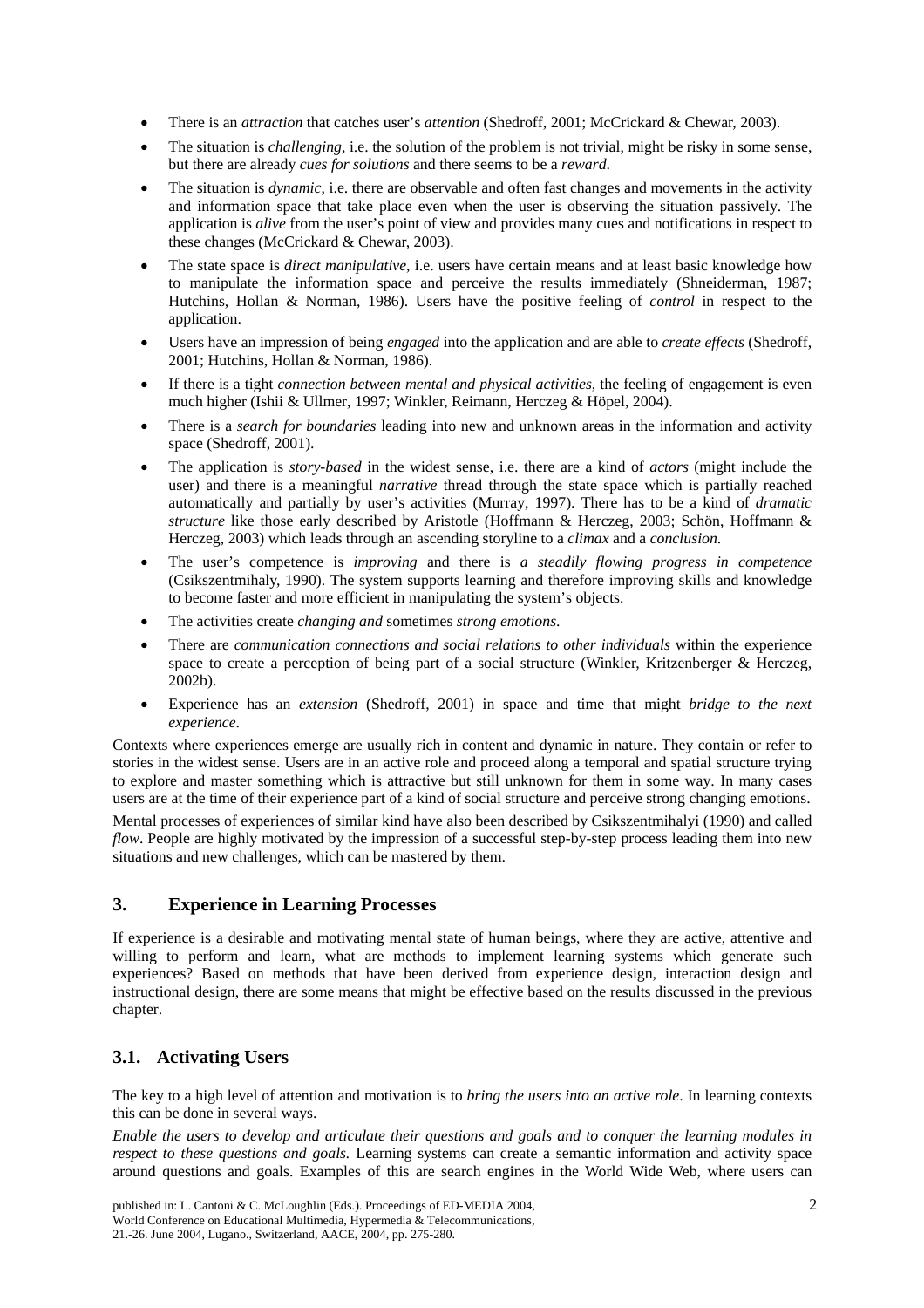- There is an *attraction* that catches user's *attention* (Shedroff, 2001; McCrickard & Chewar, 2003).
- The situation is *challenging*, i.e. the solution of the problem is not trivial, might be risky in some sense, but there are already *cues for solutions* and there seems to be a *reward*.
- The situation is *dynamic*, i.e. there are observable and often fast changes and movements in the activity and information space that take place even when the user is observing the situation passively. The application is *alive* from the user's point of view and provides many cues and notifications in respect to these changes (McCrickard & Chewar, 2003).
- The state space is *direct manipulative*, i.e. users have certain means and at least basic knowledge how to manipulate the information space and perceive the results immediately (Shneiderman, 1987; Hutchins, Hollan & Norman, 1986). Users have the positive feeling of *control* in respect to the application.
- Users have an impression of being *engaged* into the application and are able to *create effects* (Shedroff, 2001; Hutchins, Hollan & Norman, 1986).
- If there is a tight *connection between mental and physical activities*, the feeling of engagement is even much higher (Ishii & Ullmer, 1997; Winkler, Reimann, Herczeg & Höpel, 2004).
- There is a *search for boundaries* leading into new and unknown areas in the information and activity space (Shedroff, 2001).
- The application is *story-based* in the widest sense, i.e. there are a kind of *actors* (might include the user) and there is a meaningful *narrative* thread through the state space which is partially reached automatically and partially by user's activities (Murray, 1997). There has to be a kind of *dramatic structure* like those early described by Aristotle (Hoffmann & Herczeg, 2003; Schön, Hoffmann & Herczeg, 2003) which leads through an ascending storyline to a *climax* and a *conclusion*.
- The user's competence is *improving* and there is *a steadily flowing progress in competence*  (Csikszentmihaly, 1990). The system supports learning and therefore improving skills and knowledge to become faster and more efficient in manipulating the system's objects.
- The activities create *changing and* sometimes *strong emotions*.
- There are *communication connections and social relations to other individuals* within the experience space to create a perception of being part of a social structure (Winkler, Kritzenberger & Herczeg, 2002b).
- Experience has an *extension* (Shedroff, 2001) in space and time that might *bridge to the next experience*.

Contexts where experiences emerge are usually rich in content and dynamic in nature. They contain or refer to stories in the widest sense. Users are in an active role and proceed along a temporal and spatial structure trying to explore and master something which is attractive but still unknown for them in some way. In many cases users are at the time of their experience part of a kind of social structure and perceive strong changing emotions.

Mental processes of experiences of similar kind have also been described by Csikszentmihalyi (1990) and called *flow*. People are highly motivated by the impression of a successful step-by-step process leading them into new situations and new challenges, which can be mastered by them.

### **3. Experience in Learning Processes**

If experience is a desirable and motivating mental state of human beings, where they are active, attentive and willing to perform and learn, what are methods to implement learning systems which generate such experiences? Based on methods that have been derived from experience design, interaction design and instructional design, there are some means that might be effective based on the results discussed in the previous chapter.

# **3.1. Activating Users**

The key to a high level of attention and motivation is to *bring the users into an active role*. In learning contexts this can be done in several ways.

*Enable the users to develop and articulate their questions and goals and to conquer the learning modules in respect to these questions and goals.* Learning systems can create a semantic information and activity space around questions and goals. Examples of this are search engines in the World Wide Web, where users can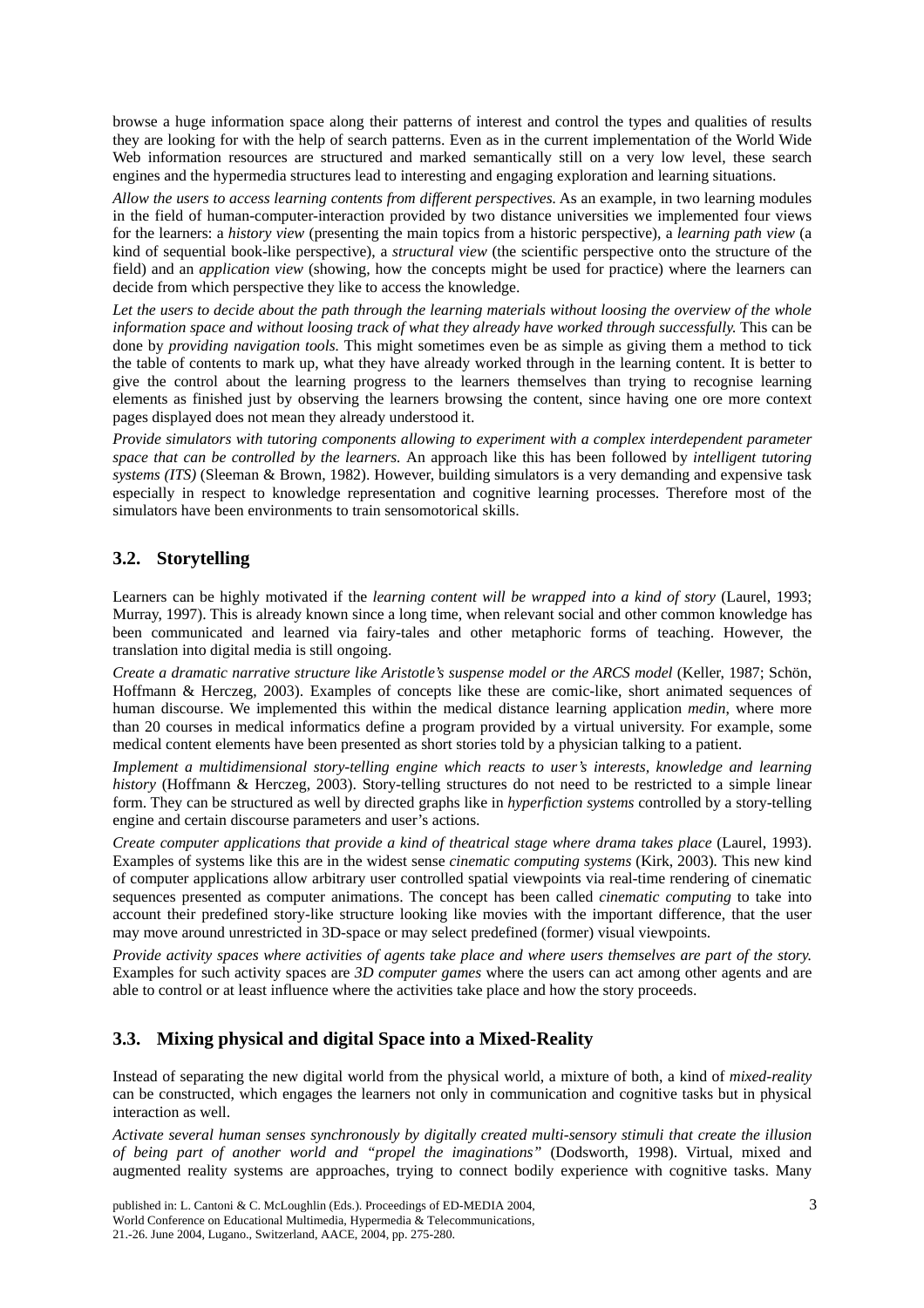browse a huge information space along their patterns of interest and control the types and qualities of results they are looking for with the help of search patterns. Even as in the current implementation of the World Wide Web information resources are structured and marked semantically still on a very low level, these search engines and the hypermedia structures lead to interesting and engaging exploration and learning situations.

*Allow the users to access learning contents from different perspectives.* As an example, in two learning modules in the field of human-computer-interaction provided by two distance universities we implemented four views for the learners: a *history view* (presenting the main topics from a historic perspective), a *learning path view* (a kind of sequential book-like perspective), a *structural view* (the scientific perspective onto the structure of the field) and an *application view* (showing, how the concepts might be used for practice) where the learners can decide from which perspective they like to access the knowledge.

*Let the users to decide about the path through the learning materials without loosing the overview of the whole information space and without loosing track of what they already have worked through successfully.* This can be done by *providing navigation tools.* This might sometimes even be as simple as giving them a method to tick the table of contents to mark up, what they have already worked through in the learning content. It is better to give the control about the learning progress to the learners themselves than trying to recognise learning elements as finished just by observing the learners browsing the content, since having one ore more context pages displayed does not mean they already understood it.

*Provide simulators with tutoring components allowing to experiment with a complex interdependent parameter space that can be controlled by the learners.* An approach like this has been followed by *intelligent tutoring systems (ITS)* (Sleeman & Brown, 1982). However, building simulators is a very demanding and expensive task especially in respect to knowledge representation and cognitive learning processes. Therefore most of the simulators have been environments to train sensomotorical skills.

# **3.2. Storytelling**

Learners can be highly motivated if the *learning content will be wrapped into a kind of story* (Laurel, 1993; Murray, 1997). This is already known since a long time, when relevant social and other common knowledge has been communicated and learned via fairy-tales and other metaphoric forms of teaching. However, the translation into digital media is still ongoing.

*Create a dramatic narrative structure like Aristotle's suspense model or the ARCS model* (Keller, 1987; Schön, Hoffmann & Herczeg, 2003). Examples of concepts like these are comic-like, short animated sequences of human discourse. We implemented this within the medical distance learning application *medin*, where more than 20 courses in medical informatics define a program provided by a virtual university. For example, some medical content elements have been presented as short stories told by a physician talking to a patient.

*Implement a multidimensional story-telling engine which reacts to user's interests, knowledge and learning history* (Hoffmann & Herczeg, 2003). Story-telling structures do not need to be restricted to a simple linear form. They can be structured as well by directed graphs like in *hyperfiction systems* controlled by a story-telling engine and certain discourse parameters and user's actions.

*Create computer applications that provide a kind of theatrical stage where drama takes place* (Laurel, 1993). Examples of systems like this are in the widest sense *cinematic computing systems* (Kirk, 2003)*.* This new kind of computer applications allow arbitrary user controlled spatial viewpoints via real-time rendering of cinematic sequences presented as computer animations. The concept has been called *cinematic computing* to take into account their predefined story-like structure looking like movies with the important difference, that the user may move around unrestricted in 3D-space or may select predefined (former) visual viewpoints.

*Provide activity spaces where activities of agents take place and where users themselves are part of the story.*  Examples for such activity spaces are *3D computer games* where the users can act among other agents and are able to control or at least influence where the activities take place and how the story proceeds.

# **3.3. Mixing physical and digital Space into a Mixed-Reality**

Instead of separating the new digital world from the physical world, a mixture of both, a kind of *mixed-reality* can be constructed, which engages the learners not only in communication and cognitive tasks but in physical interaction as well.

*Activate several human senses synchronously by digitally created multi-sensory stimuli that create the illusion of being part of another world and "propel the imaginations"* (Dodsworth, 1998). Virtual, mixed and augmented reality systems are approaches, trying to connect bodily experience with cognitive tasks. Many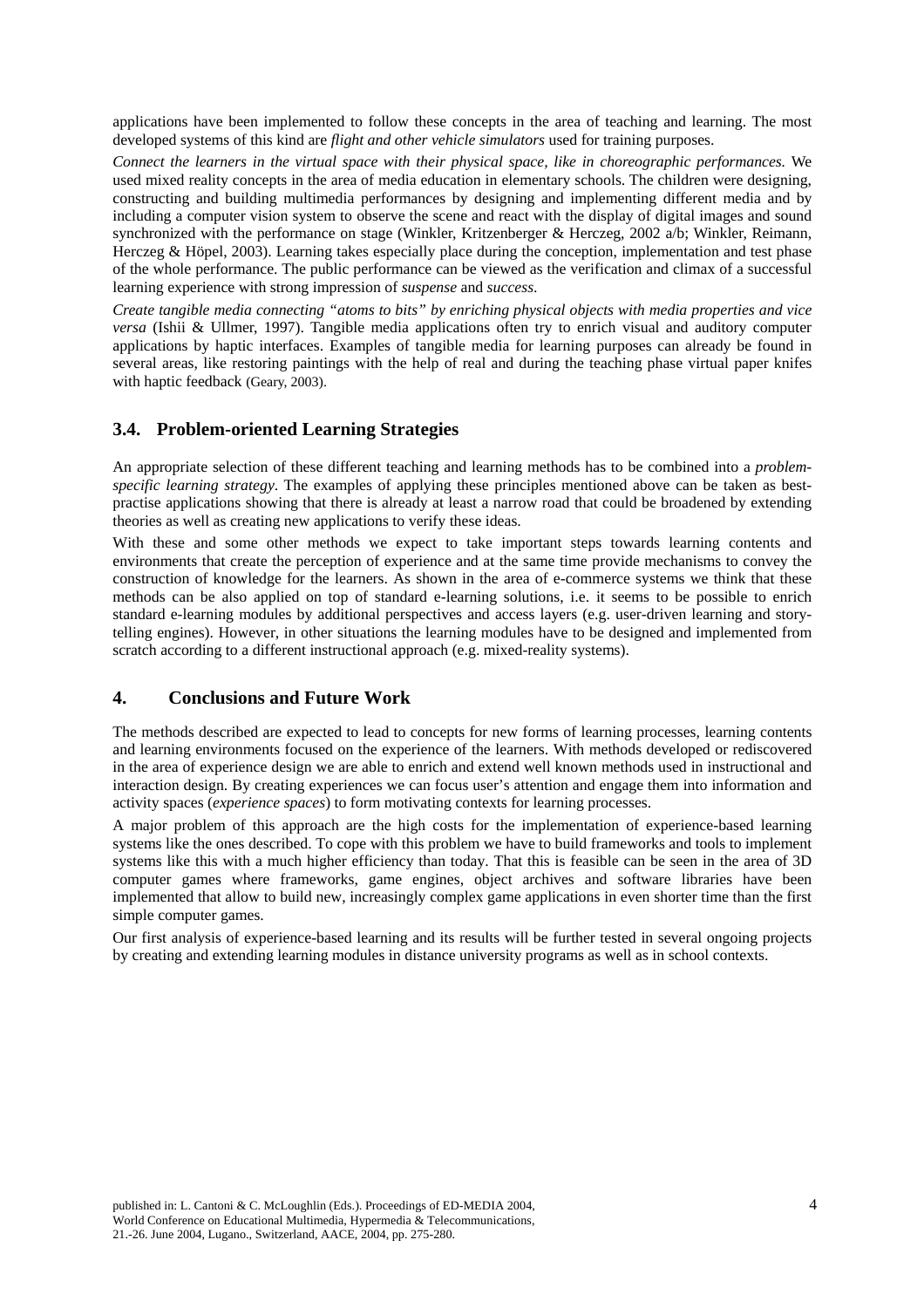applications have been implemented to follow these concepts in the area of teaching and learning. The most developed systems of this kind are *flight and other vehicle simulators* used for training purposes.

*Connect the learners in the virtual space with their physical space, like in choreographic performances.* We used mixed reality concepts in the area of media education in elementary schools. The children were designing, constructing and building multimedia performances by designing and implementing different media and by including a computer vision system to observe the scene and react with the display of digital images and sound synchronized with the performance on stage (Winkler, Kritzenberger & Herczeg, 2002 a/b; Winkler, Reimann, Herczeg & Höpel, 2003). Learning takes especially place during the conception, implementation and test phase of the whole performance. The public performance can be viewed as the verification and climax of a successful learning experience with strong impression of *suspense* and *success*.

*Create tangible media connecting "atoms to bits" by enriching physical objects with media properties and vice versa* (Ishii & Ullmer, 1997). Tangible media applications often try to enrich visual and auditory computer applications by haptic interfaces. Examples of tangible media for learning purposes can already be found in several areas, like restoring paintings with the help of real and during the teaching phase virtual paper knifes with haptic feedback (Geary, 2003).

# **3.4. Problem-oriented Learning Strategies**

An appropriate selection of these different teaching and learning methods has to be combined into a *problemspecific learning strategy*. The examples of applying these principles mentioned above can be taken as bestpractise applications showing that there is already at least a narrow road that could be broadened by extending theories as well as creating new applications to verify these ideas.

With these and some other methods we expect to take important steps towards learning contents and environments that create the perception of experience and at the same time provide mechanisms to convey the construction of knowledge for the learners. As shown in the area of e-commerce systems we think that these methods can be also applied on top of standard e-learning solutions, i.e. it seems to be possible to enrich standard e-learning modules by additional perspectives and access layers (e.g. user-driven learning and storytelling engines). However, in other situations the learning modules have to be designed and implemented from scratch according to a different instructional approach (e.g. mixed-reality systems).

### **4. Conclusions and Future Work**

The methods described are expected to lead to concepts for new forms of learning processes, learning contents and learning environments focused on the experience of the learners. With methods developed or rediscovered in the area of experience design we are able to enrich and extend well known methods used in instructional and interaction design. By creating experiences we can focus user's attention and engage them into information and activity spaces (*experience spaces*) to form motivating contexts for learning processes.

A major problem of this approach are the high costs for the implementation of experience-based learning systems like the ones described. To cope with this problem we have to build frameworks and tools to implement systems like this with a much higher efficiency than today. That this is feasible can be seen in the area of 3D computer games where frameworks, game engines, object archives and software libraries have been implemented that allow to build new, increasingly complex game applications in even shorter time than the first simple computer games.

Our first analysis of experience-based learning and its results will be further tested in several ongoing projects by creating and extending learning modules in distance university programs as well as in school contexts.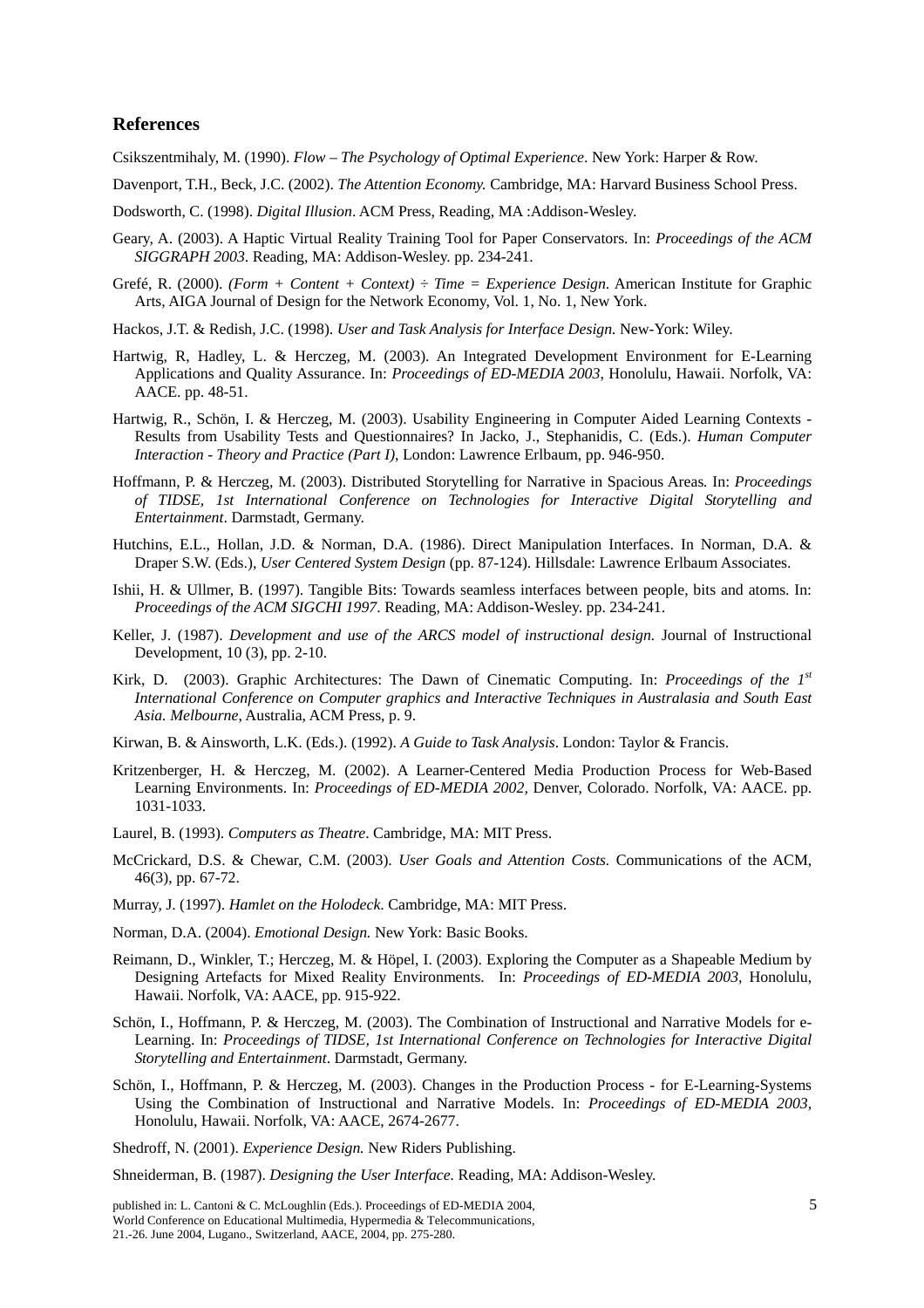#### **References**

Csikszentmihaly, M. (1990). *Flow – The Psychology of Optimal Experience*. New York: Harper & Row.

- Davenport, T.H., Beck, J.C. (2002). *The Attention Economy.* Cambridge, MA: Harvard Business School Press.
- Dodsworth, C. (1998). *Digital Illusion*. ACM Press, Reading, MA :Addison-Wesley.
- Geary, A. (2003). A Haptic Virtual Reality Training Tool for Paper Conservators. In: *Proceedings of the ACM SIGGRAPH 2003*. Reading, MA: Addison-Wesley. pp. 234-241.
- Grefé, R. (2000). *(Form + Content + Context) ÷ Time = Experience Design*. American Institute for Graphic Arts, AIGA Journal of Design for the Network Economy, Vol. 1, No. 1, New York.
- Hackos, J.T. & Redish, J.C. (1998). *User and Task Analysis for Interface Design.* New-York: Wiley.
- Hartwig, R, Hadley, L. & Herczeg, M. (2003). An Integrated Development Environment for E-Learning Applications and Quality Assurance. In: *Proceedings of ED-MEDIA 2003*, Honolulu, Hawaii. Norfolk, VA: AACE. pp. 48-51.
- Hartwig, R., Schön, I. & Herczeg, M. (2003). Usability Engineering in Computer Aided Learning Contexts Results from Usability Tests and Questionnaires? In Jacko, J., Stephanidis, C. (Eds.). *Human Computer Interaction - Theory and Practice (Part I)*, London: Lawrence Erlbaum, pp. 946-950.
- Hoffmann, P. & Herczeg, M. (2003). Distributed Storytelling for Narrative in Spacious Areas*.* In: *Proceedings of TIDSE, 1st International Conference on Technologies for Interactive Digital Storytelling and Entertainment*. Darmstadt, Germany.
- Hutchins, E.L., Hollan, J.D. & Norman, D.A. (1986). Direct Manipulation Interfaces. In Norman, D.A. & Draper S.W. (Eds.), *User Centered System Design* (pp. 87-124). Hillsdale: Lawrence Erlbaum Associates.
- Ishii, H. & Ullmer, B. (1997). Tangible Bits: Towards seamless interfaces between people, bits and atoms. In: *Proceedings of the ACM SIGCHI 1997*. Reading, MA: Addison-Wesley. pp. 234-241.
- Keller, J. (1987). *Development and use of the ARCS model of instructional design.* Journal of Instructional Development, 10 (3), pp. 2-10.
- Kirk, D. (2003). Graphic Architectures: The Dawn of Cinematic Computing. In: *Proceedings of the 1st International Conference on Computer graphics and Interactive Techniques in Australasia and South East Asia. Melbourne*, Australia, ACM Press, p. 9.
- Kirwan, B. & Ainsworth, L.K. (Eds.). (1992). *A Guide to Task Analysis*. London: Taylor & Francis.
- Kritzenberger, H. & Herczeg, M. (2002). A Learner-Centered Media Production Process for Web-Based Learning Environments. In: *Proceedings of ED-MEDIA 2002,* Denver, Colorado. Norfolk, VA: AACE. pp. 1031-1033.
- Laurel, B. (1993). *Computers as Theatre*. Cambridge, MA: MIT Press.
- McCrickard, D.S. & Chewar, C.M. (2003). *User Goals and Attention Costs.* Communications of the ACM, 46(3), pp. 67-72.
- Murray, J. (1997). *Hamlet on the Holodeck*. Cambridge, MA: MIT Press.
- Norman, D.A. (2004). *Emotional Design.* New York: Basic Books.
- Reimann, D., Winkler, T.; Herczeg, M. & Höpel, I. (2003). Exploring the Computer as a Shapeable Medium by Designing Artefacts for Mixed Reality Environments. In: *Proceedings of ED-MEDIA 2003,* Honolulu, Hawaii. Norfolk, VA: AACE, pp. 915-922.
- Schön, I., Hoffmann, P. & Herczeg, M. (2003). The Combination of Instructional and Narrative Models for e-Learning. In: *Proceedings of TIDSE, 1st International Conference on Technologies for Interactive Digital Storytelling and Entertainment*. Darmstadt, Germany.
- Schön, I., Hoffmann, P. & Herczeg, M. (2003). Changes in the Production Process for E-Learning-Systems Using the Combination of Instructional and Narrative Models. In: *Proceedings of ED-MEDIA 2003,* Honolulu, Hawaii. Norfolk, VA: AACE, 2674-2677.

Shedroff, N. (2001). *Experience Design.* New Riders Publishing.

Shneiderman, B. (1987). *Designing the User Interface.* Reading, MA: Addison-Wesley.

published in: L. Cantoni & C. McLoughlin (Eds.). Proceedings of ED-MEDIA 2004, 5 World Conference on Educational Multimedia, Hypermedia & Telecommunications, 21.-26. June 2004, Lugano., Switzerland, AACE, 2004, pp. 275-280.